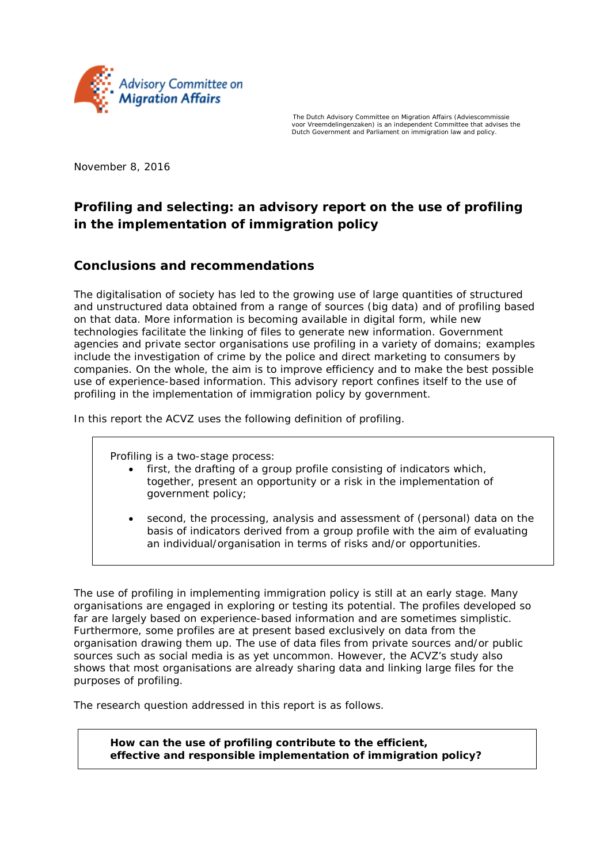

The Dutch Advisory Committee on Migration Affairs (*Adviescommissie voor Vreemdelingenzaken*) is an independent Committee that advises the Dutch Government and Parliament on immigration law and policy.

November 8, 2016

## **Profiling and selecting: an advisory report on the use of profiling in the implementation of immigration policy**

## **Conclusions and recommendations**

The digitalisation of society has led to the growing use of large quantities of structured and unstructured data obtained from a range of sources (big data) and of profiling based on that data. More information is becoming available in digital form, while new technologies facilitate the linking of files to generate new information. Government agencies and private sector organisations use profiling in a variety of domains; examples include the investigation of crime by the police and direct marketing to consumers by companies. On the whole, the aim is to improve efficiency and to make the best possible use of experience-based information. This advisory report confines itself to the use of profiling in the implementation of immigration policy by government.

In this report the ACVZ uses the following definition of profiling.

Profiling is a two-stage process:

- first, the drafting of a group profile consisting of indicators which, together, present an opportunity or a risk in the implementation of government policy;
- second, the processing, analysis and assessment of (personal) data on the basis of indicators derived from a group profile with the aim of evaluating an individual/organisation in terms of risks and/or opportunities.

The use of profiling in implementing immigration policy is still at an early stage. Many organisations are engaged in exploring or testing its potential. The profiles developed so far are largely based on experience-based information and are sometimes simplistic. Furthermore, some profiles are at present based exclusively on data from the organisation drawing them up. The use of data files from private sources and/or public sources such as social media is as yet uncommon. However, the ACVZ's study also shows that most organisations are already sharing data and linking large files for the purposes of profiling.

The research question addressed in this report is as follows.

*How can the use of profiling contribute to the efficient, effective and responsible implementation of immigration policy?*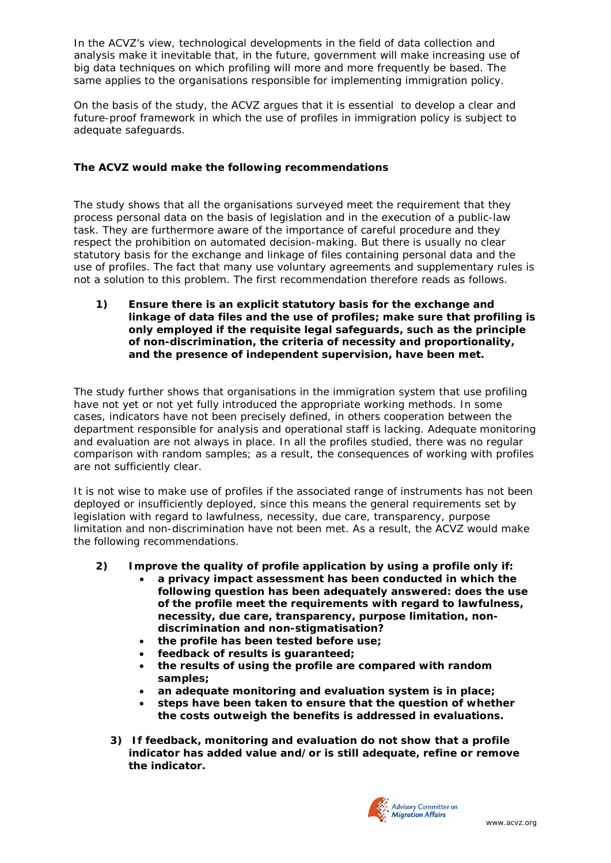In the ACVZ's view, technological developments in the field of data collection and analysis make it inevitable that, in the future, government will make increasing use of big data techniques on which profiling will more and more frequently be based. The same applies to the organisations responsible for implementing immigration policy.

On the basis of the study, the ACVZ argues that it is essential to develop a clear and future-proof framework in which the use of profiles in immigration policy is subject to adequate safeguards.

## **The ACVZ would make the following recommendations**

The study shows that all the organisations surveyed meet the requirement that they process personal data on the basis of legislation and in the execution of a public-law task. They are furthermore aware of the importance of careful procedure and they respect the prohibition on automated decision-making. But there is usually no clear statutory basis for the exchange and linkage of files containing personal data and the use of profiles. The fact that many use voluntary agreements and supplementary rules is not a solution to this problem. The first recommendation therefore reads as follows.

*1) Ensure there is an explicit statutory basis for the exchange and linkage of data files and the use of profiles; make sure that profiling is only employed if the requisite legal safeguards, such as the principle of non-discrimination, the criteria of necessity and proportionality, and the presence of independent supervision, have been met.* 

The study further shows that organisations in the immigration system that use profiling have not yet or not yet fully introduced the appropriate working methods. In some cases, indicators have not been precisely defined, in others cooperation between the department responsible for analysis and operational staff is lacking. Adequate monitoring and evaluation are not always in place. In all the profiles studied, there was no regular comparison with random samples; as a result, the consequences of working with profiles are not sufficiently clear.

It is not wise to make use of profiles if the associated range of instruments has not been deployed or insufficiently deployed, since this means the general requirements set by legislation with regard to lawfulness, necessity, due care, transparency, purpose limitation and non-discrimination have not been met. As a result, the ACVZ would make the following recommendations.

## *2) Improve the quality of profile application by using a profile only if:*

- *a privacy impact assessment has been conducted in which the following question has been adequately answered: does the use of the profile meet the requirements with regard to lawfulness, necessity, due care, transparency, purpose limitation, nondiscrimination and non-stigmatisation?*
- *the profile has been tested before use;*
- *feedback of results is guaranteed;*
- *the results of using the profile are compared with random samples;*
- *an adequate monitoring and evaluation system is in place;*
- *steps have been taken to ensure that the question of whether the costs outweigh the benefits is addressed in evaluations.*
- *3) If feedback, monitoring and evaluation do not show that a profile indicator has added value and/or is still adequate, refine or remove the indicator.*

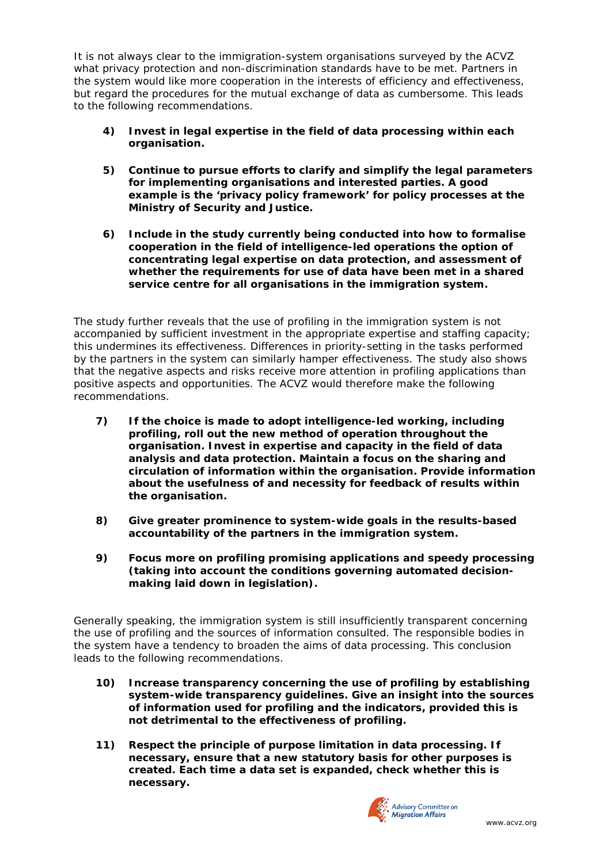It is not always clear to the immigration-system organisations surveyed by the ACVZ what privacy protection and non-discrimination standards have to be met. Partners in the system would like more cooperation in the interests of efficiency and effectiveness, but regard the procedures for the mutual exchange of data as cumbersome. This leads to the following recommendations.

- *4) Invest in legal expertise in the field of data processing within each organisation.*
- *5) Continue to pursue efforts to clarify and simplify the legal parameters for implementing organisations and interested parties. A good example is the 'privacy policy framework' for policy processes at the Ministry of Security and Justice.*
- *6) Include in the study currently being conducted into how to formalise cooperation in the field of intelligence-led operations the option of concentrating legal expertise on data protection, and assessment of whether the requirements for use of data have been met in a shared service centre for all organisations in the immigration system.*

The study further reveals that the use of profiling in the immigration system is not accompanied by sufficient investment in the appropriate expertise and staffing capacity; this undermines its effectiveness. Differences in priority-setting in the tasks performed by the partners in the system can similarly hamper effectiveness. The study also shows that the negative aspects and risks receive more attention in profiling applications than positive aspects and opportunities. The ACVZ would therefore make the following recommendations.

- *7) If the choice is made to adopt intelligence-led working, including profiling, roll out the new method of operation throughout the organisation. Invest in expertise and capacity in the field of data analysis and data protection. Maintain a focus on the sharing and circulation of information within the organisation. Provide information about the usefulness of and necessity for feedback of results within the organisation.*
- *8) Give greater prominence to system-wide goals in the results-based accountability of the partners in the immigration system.*
- *9) Focus more on profiling promising applications and speedy processing (taking into account the conditions governing automated decisionmaking laid down in legislation).*

Generally speaking, the immigration system is still insufficiently transparent concerning the use of profiling and the sources of information consulted. The responsible bodies in the system have a tendency to broaden the aims of data processing. This conclusion leads to the following recommendations.

- *10) Increase transparency concerning the use of profiling by establishing system-wide transparency guidelines. Give an insight into the sources of information used for profiling and the indicators, provided this is not detrimental to the effectiveness of profiling.*
- *11) Respect the principle of purpose limitation in data processing. If necessary, ensure that a new statutory basis for other purposes is created. Each time a data set is expanded, check whether this is necessary.*